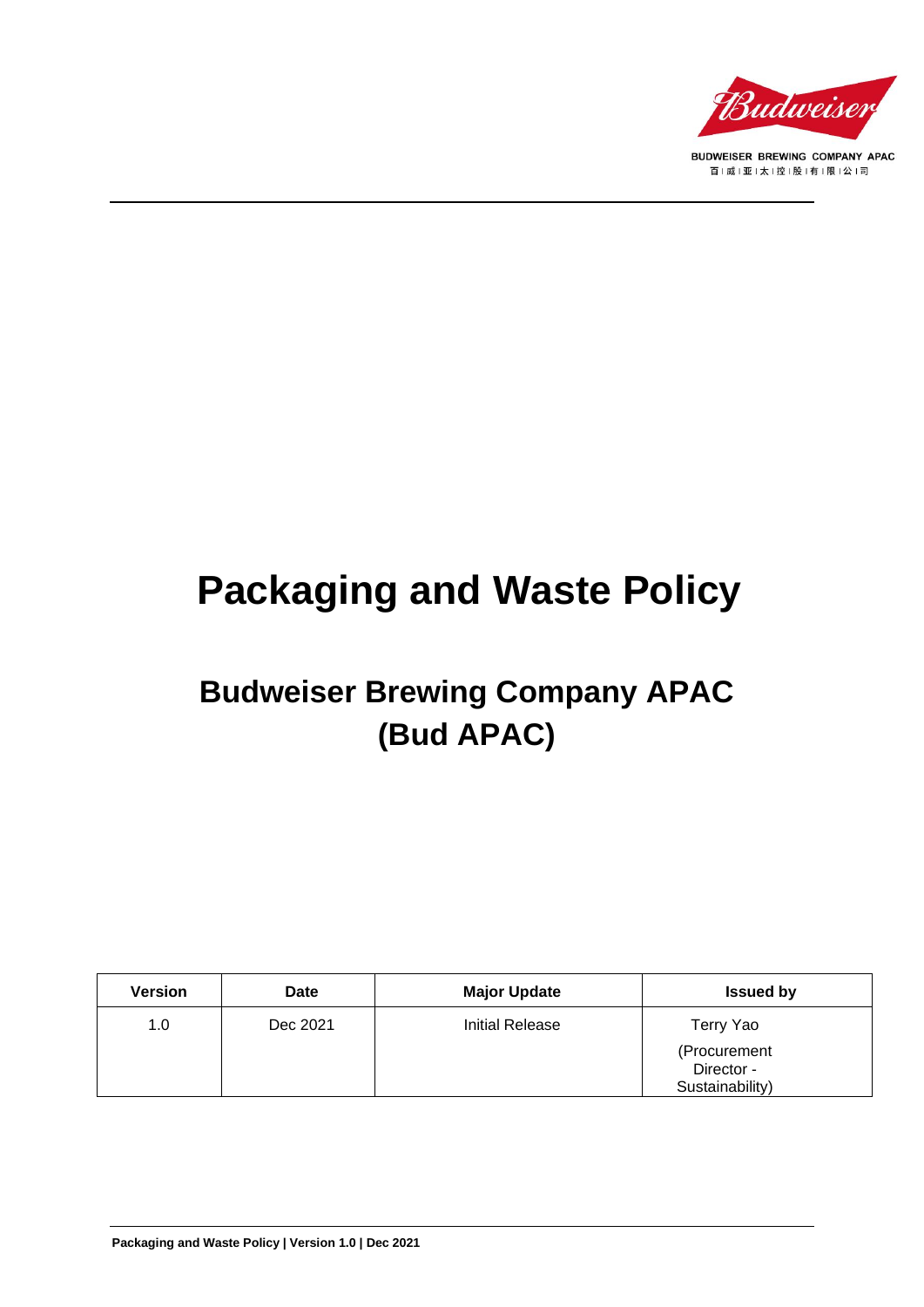

BUDWEISER BREWING COMPANY APAC 百|威|亚|太|控|股|有|限|公|司

# **Packaging and Waste Policy**

## **Budweiser Brewing Company APAC (Bud APAC)**

| Version | Date     | <b>Major Update</b> | <b>Issued by</b>                              |
|---------|----------|---------------------|-----------------------------------------------|
| 1.0     | Dec 2021 | Initial Release     | Terry Yao                                     |
|         |          |                     | (Procurement<br>Director -<br>Sustainability) |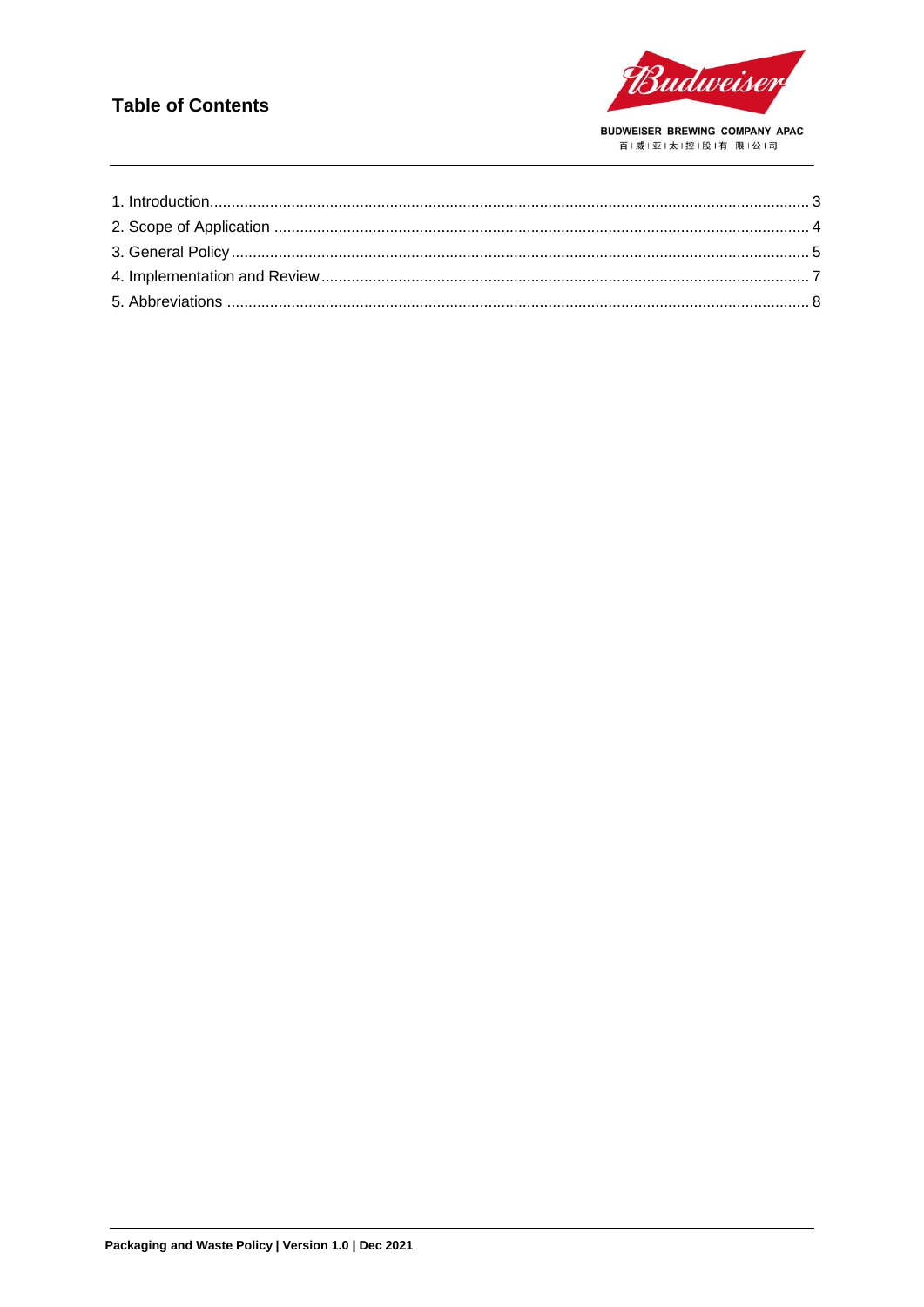#### **Table of Contents**

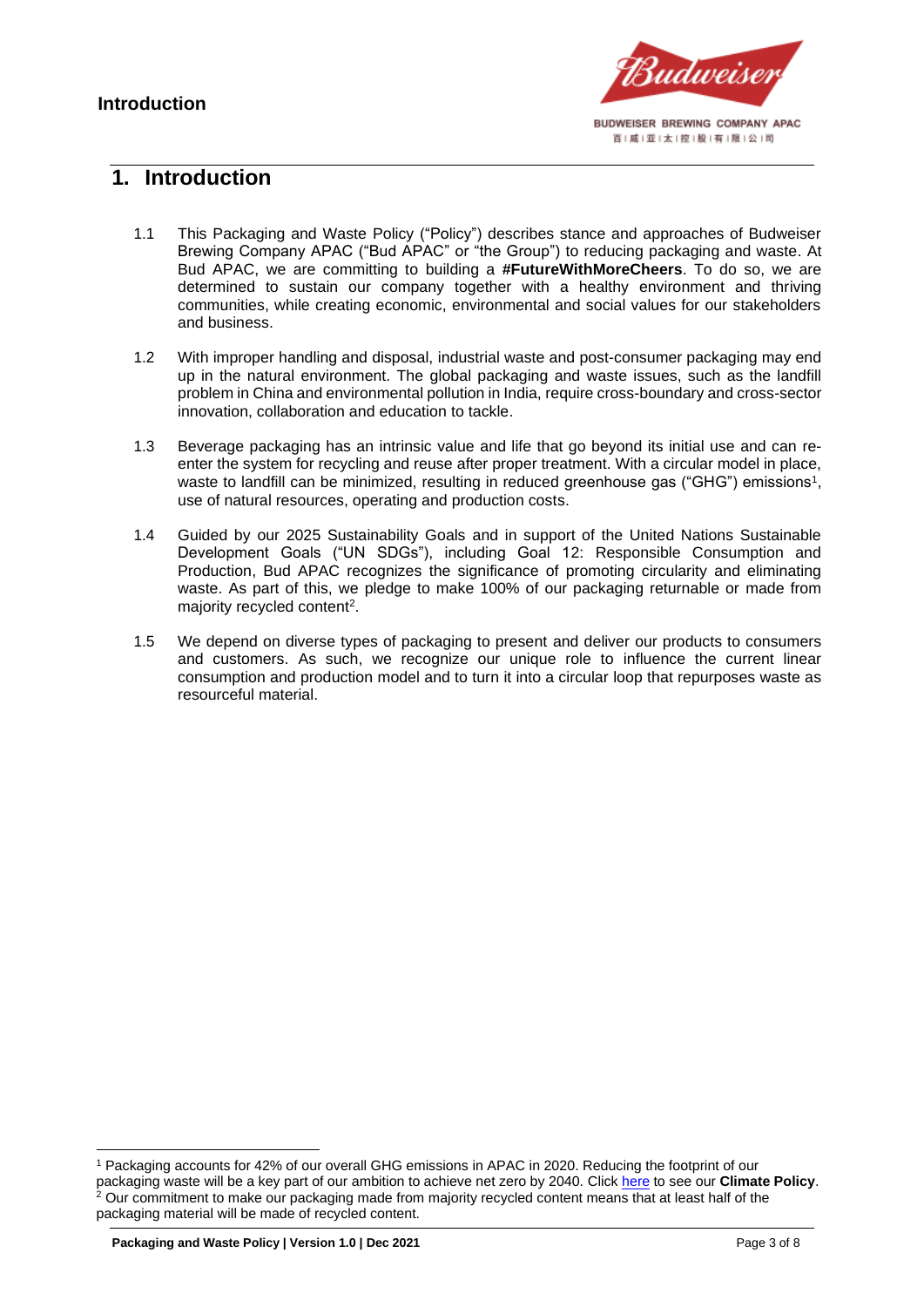

#### <span id="page-2-0"></span>**1. Introduction**

- 1.1 This Packaging and Waste Policy ("Policy") describes stance and approaches of Budweiser Brewing Company APAC ("Bud APAC" or "the Group") to reducing packaging and waste. At Bud APAC, we are committing to building a **#FutureWithMoreCheers**. To do so, we are determined to sustain our company together with a healthy environment and thriving communities, while creating economic, environmental and social values for our stakeholders and business.
- 1.2 With improper handling and disposal, industrial waste and post-consumer packaging may end up in the natural environment. The global packaging and waste issues, such as the landfill problem in China and environmental pollution in India, require cross-boundary and cross-sector innovation, collaboration and education to tackle.
- 1.3 Beverage packaging has an intrinsic value and life that go beyond its initial use and can reenter the system for recycling and reuse after proper treatment. With a circular model in place, waste to landfill can be minimized, resulting in reduced greenhouse gas ("GHG") emissions<sup>1</sup>, use of natural resources, operating and production costs.
- 1.4 Guided by our 2025 Sustainability Goals and in support of the United Nations Sustainable Development Goals ("UN SDGs"), including Goal 12: Responsible Consumption and Production, Bud APAC recognizes the significance of promoting circularity and eliminating waste. As part of this, we pledge to make 100% of our packaging returnable or made from majority recycled content<sup>2</sup>.
- 1.5 We depend on diverse types of packaging to present and deliver our products to consumers and customers. As such, we recognize our unique role to influence the current linear consumption and production model and to turn it into a circular loop that repurposes waste as resourceful material.

<sup>1</sup> Packaging accounts for 42% of our overall GHG emissions in APAC in 2020. Reducing the footprint of our packaging waste will be a key part of our ambition to achieve net zero by 2040. Clic[k here](https://budweiserapac.com/ace_files/files/policy2021/BudAPAC_Climate%20Policy.pdf) to see our **Climate Policy**.  $2$  Our commitment to make our packaging made from majority recycled content means that at least half of the packaging material will be made of recycled content.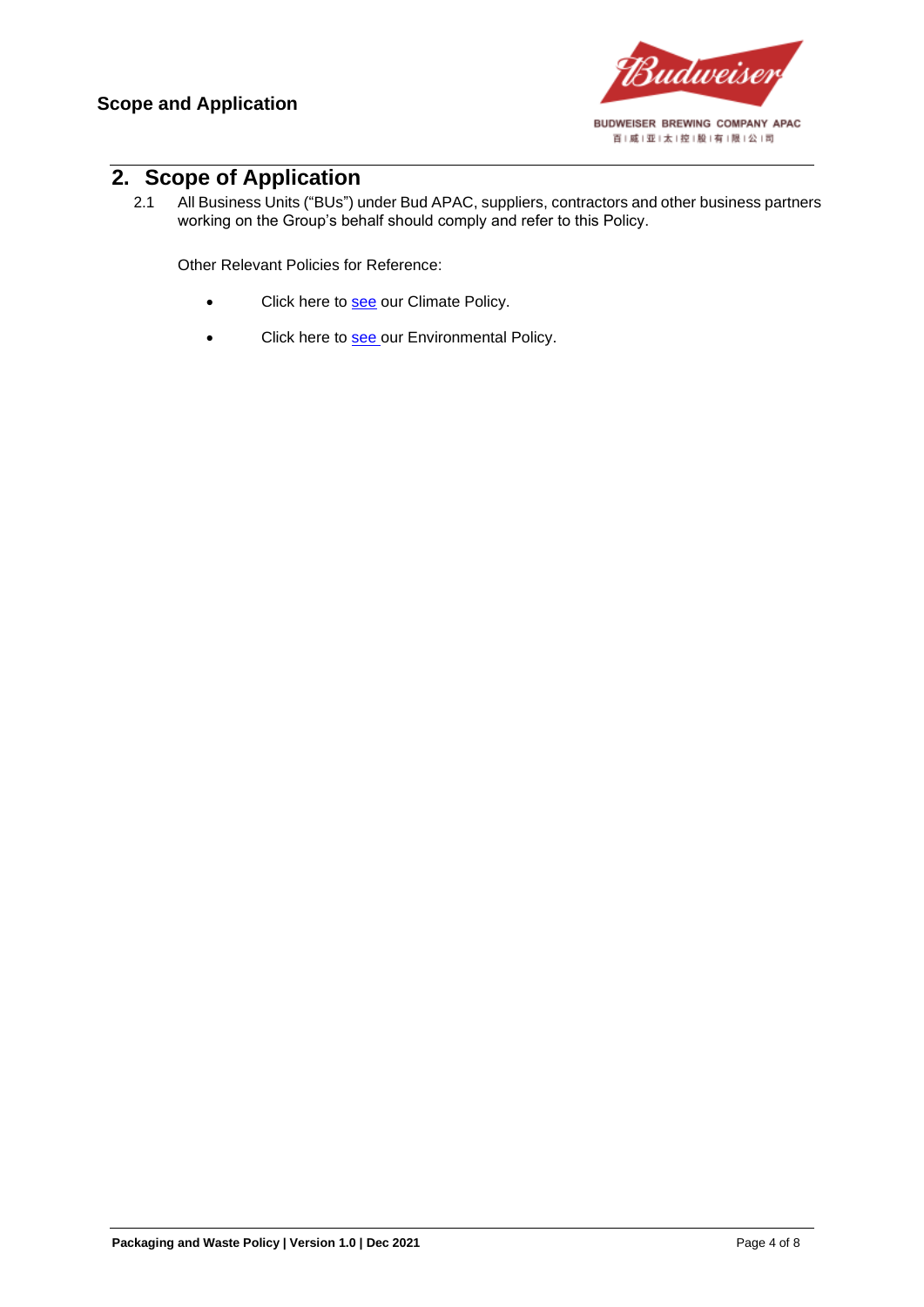

#### <span id="page-3-0"></span>**2. Scope of Application**

2.1 All Business Units ("BUs") under Bud APAC, suppliers, contractors and other business partners working on the Group's behalf should comply and refer to this Policy.

Other Relevant Policies for Reference:

- Click here to [see](https://budweiserapac.com/ace_files/files/policy2021/BudAPAC_Climate%20Policy.pdf) our Climate Policy.
- Click here to [see](https://budweiserapac.com/ace_files/files/policy2021/BudAPAC_Environmental%20Policy.pdf) our Environmental Policy.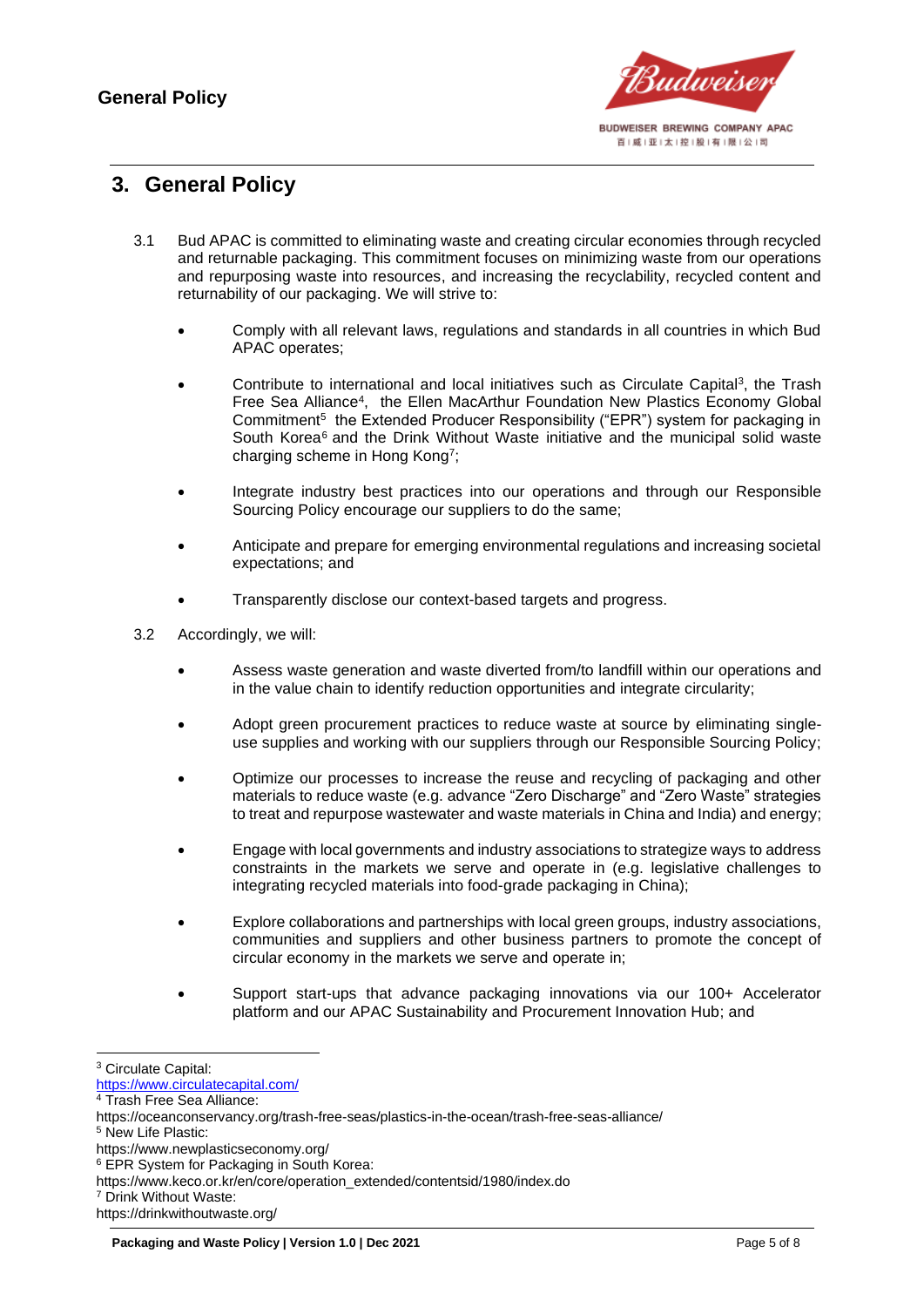

#### <span id="page-4-0"></span>**3. General Policy**

- 3.1 Bud APAC is committed to eliminating waste and creating circular economies through recycled and returnable packaging. This commitment focuses on minimizing waste from our operations and repurposing waste into resources, and increasing the recyclability, recycled content and returnability of our packaging. We will strive to:
	- Comply with all relevant laws, regulations and standards in all countries in which Bud APAC operates;
	- Contribute to international and local initiatives such as Circulate Capital<sup>3</sup>, the Trash Free Sea Alliance<sup>4</sup> , the Ellen MacArthur Foundation New Plastics Economy Global Commitment<sup>5</sup> the Extended Producer Responsibility ("EPR") system for packaging in South Korea<sup>6</sup> and the Drink Without Waste initiative and the municipal solid waste charging scheme in Hong Kong<sup>7</sup> ;
	- Integrate industry best practices into our operations and through our Responsible Sourcing Policy encourage our suppliers to do the same;
	- Anticipate and prepare for emerging environmental regulations and increasing societal expectations; and
	- Transparently disclose our context-based targets and progress.
- 3.2 Accordingly, we will:
	- Assess waste generation and waste diverted from/to landfill within our operations and in the value chain to identify reduction opportunities and integrate circularity;
	- Adopt green procurement practices to reduce waste at source by eliminating singleuse supplies and working with our suppliers through our Responsible Sourcing Policy;
	- Optimize our processes to increase the reuse and recycling of packaging and other materials to reduce waste (e.g. advance "Zero Discharge" and "Zero Waste" strategies to treat and repurpose wastewater and waste materials in China and India) and energy;
	- Engage with local governments and industry associations to strategize ways to address constraints in the markets we serve and operate in (e.g. legislative challenges to integrating recycled materials into food-grade packaging in China);
	- Explore collaborations and partnerships with local green groups, industry associations, communities and suppliers and other business partners to promote the concept of circular economy in the markets we serve and operate in;
	- Support start-ups that advance packaging innovations via our 100+ Accelerator platform and our APAC Sustainability and Procurement Innovation Hub; and

<sup>3</sup> Circulate Capital:

<https://www.circulatecapital.com/>

<sup>4</sup> Trash Free Sea Alliance:

https://oceanconservancy.org/trash-free-seas/plastics-in-the-ocean/trash-free-seas-alliance/

<sup>5</sup> New Life Plastic:

https://www.newplasticseconomy.org/

<sup>6</sup> EPR System for Packaging in South Korea:

https://www.keco.or.kr/en/core/operation\_extended/contentsid/1980/index.do

<sup>7</sup> Drink Without Waste:

https://drinkwithoutwaste.org/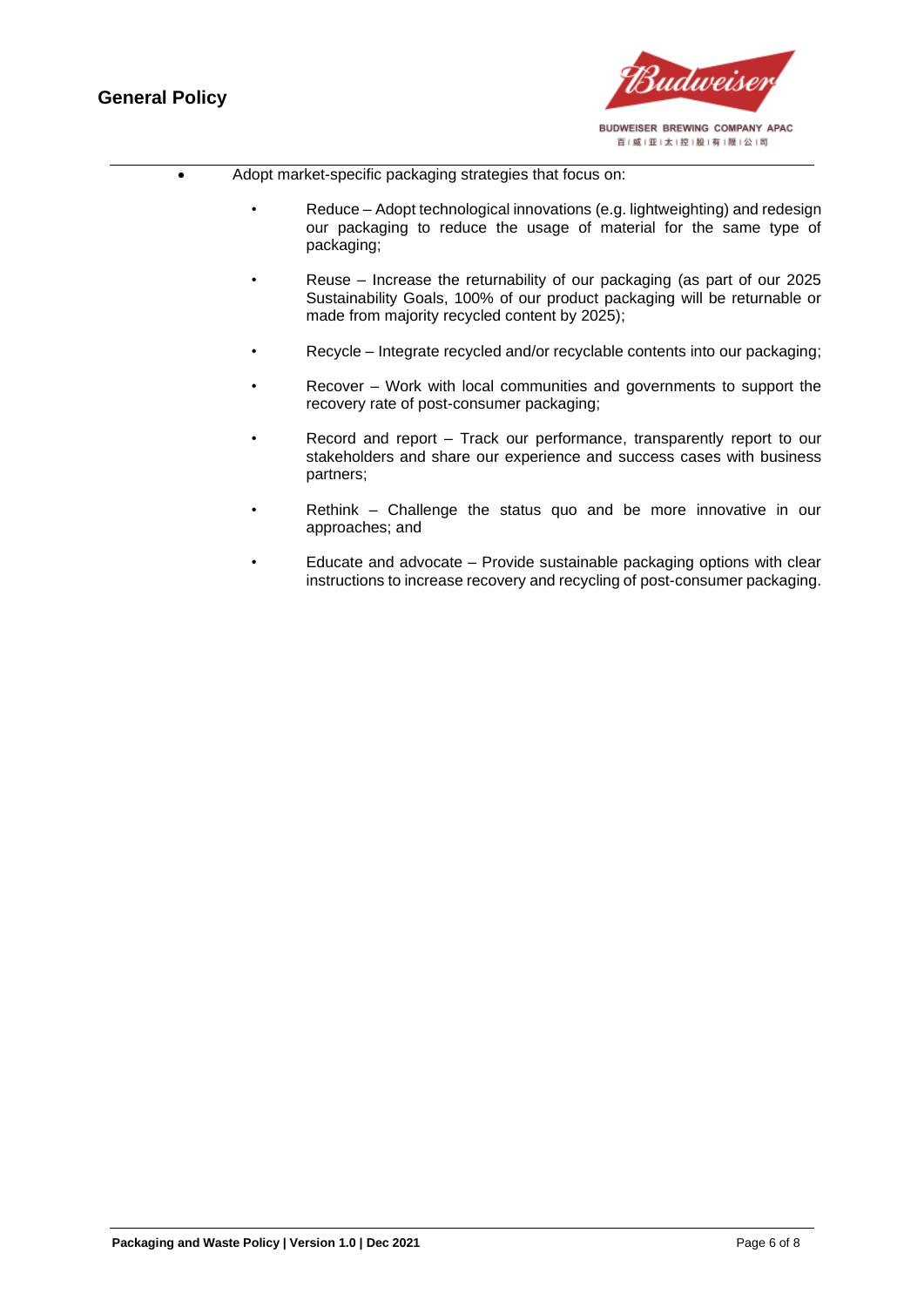

#### • Adopt market-specific packaging strategies that focus on:

- Reduce Adopt technological innovations (e.g. lightweighting) and redesign our packaging to reduce the usage of material for the same type of packaging;
- Reuse Increase the returnability of our packaging (as part of our 2025 Sustainability Goals, 100% of our product packaging will be returnable or made from majority recycled content by 2025);
- Recycle Integrate recycled and/or recyclable contents into our packaging;
- Recover Work with local communities and governments to support the recovery rate of post-consumer packaging;
- Record and report Track our performance, transparently report to our stakeholders and share our experience and success cases with business partners;
- Rethink Challenge the status quo and be more innovative in our approaches; and
- Educate and advocate Provide sustainable packaging options with clear instructions to increase recovery and recycling of post-consumer packaging.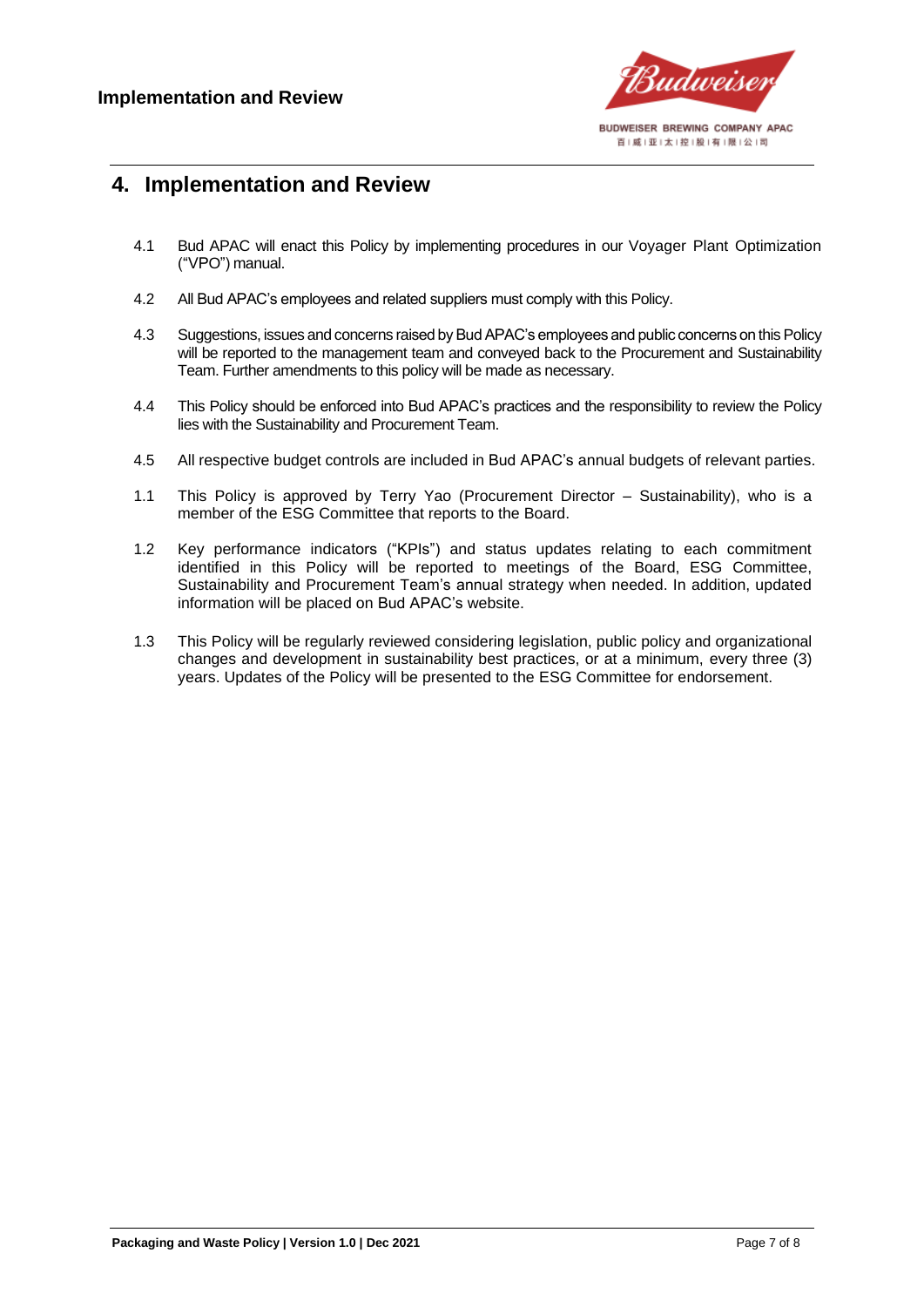

#### <span id="page-6-0"></span>**4. Implementation and Review**

- 4.1 Bud APAC will enact this Policy by implementing procedures in our Voyager Plant Optimization ("VPO") manual.
- 4.2 All Bud APAC's employees and related suppliers must comply with this Policy.
- 4.3 Suggestions, issues and concerns raised by Bud APAC's employees and public concerns on this Policy will be reported to the management team and conveyed back to the Procurement and Sustainability Team. Further amendments to this policy will be made as necessary.
- 4.4 This Policy should be enforced into Bud APAC's practices and the responsibility to review the Policy lies with the Sustainability and Procurement Team.
- 4.5 All respective budget controls are included in Bud APAC's annual budgets of relevant parties.
- 1.1 This Policy is approved by Terry Yao (Procurement Director Sustainability), who is a member of the ESG Committee that reports to the Board.
- 1.2 Key performance indicators ("KPIs") and status updates relating to each commitment identified in this Policy will be reported to meetings of the Board, ESG Committee, Sustainability and Procurement Team's annual strategy when needed. In addition, updated information will be placed on Bud APAC's website.
- 1.3 This Policy will be regularly reviewed considering legislation, public policy and organizational changes and development in sustainability best practices, or at a minimum, every three (3) years. Updates of the Policy will be presented to the ESG Committee for endorsement.